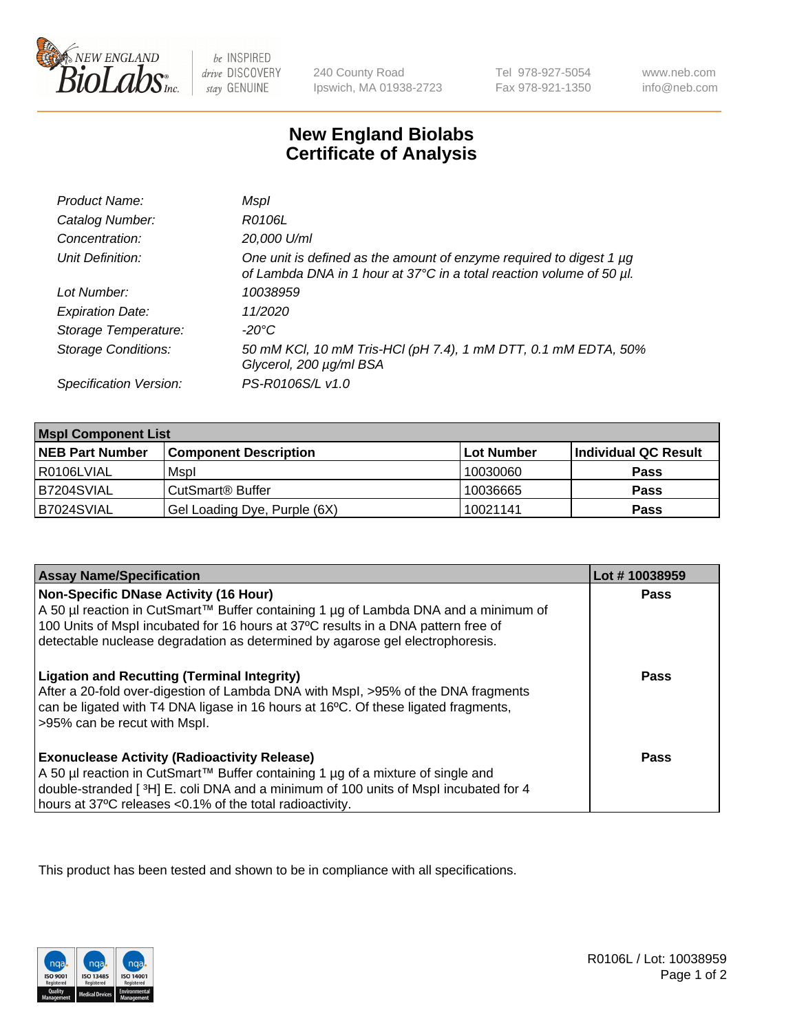

 $be$  INSPIRED drive DISCOVERY stay GENUINE

240 County Road Ipswich, MA 01938-2723 Tel 978-927-5054 Fax 978-921-1350

www.neb.com info@neb.com

## **New England Biolabs Certificate of Analysis**

| Product Name:              | Mspl                                                                                                                                             |
|----------------------------|--------------------------------------------------------------------------------------------------------------------------------------------------|
| Catalog Number:            | R0106L                                                                                                                                           |
| Concentration:             | 20,000 U/ml                                                                                                                                      |
| Unit Definition:           | One unit is defined as the amount of enzyme required to digest 1 $\mu$ g<br>of Lambda DNA in 1 hour at 37°C in a total reaction volume of 50 µl. |
| Lot Number:                | 10038959                                                                                                                                         |
| <b>Expiration Date:</b>    | 11/2020                                                                                                                                          |
| Storage Temperature:       | -20°C                                                                                                                                            |
| <b>Storage Conditions:</b> | 50 mM KCl, 10 mM Tris-HCl (pH 7.4), 1 mM DTT, 0.1 mM EDTA, 50%<br>Glycerol, 200 µg/ml BSA                                                        |
| Specification Version:     | PS-R0106S/L v1.0                                                                                                                                 |

| <b>Mspl Component List</b> |                              |            |                      |  |
|----------------------------|------------------------------|------------|----------------------|--|
| <b>NEB Part Number</b>     | <b>Component Description</b> | Lot Number | Individual QC Result |  |
| I R0106LVIAL               | Mspl                         | 10030060   | <b>Pass</b>          |  |
| B7204SVIAL                 | CutSmart <sup>®</sup> Buffer | 10036665   | <b>Pass</b>          |  |
| B7024SVIAL                 | Gel Loading Dye, Purple (6X) | 10021141   | <b>Pass</b>          |  |

| <b>Assay Name/Specification</b>                                                                                                                                                                                                                                                                           | Lot #10038959 |
|-----------------------------------------------------------------------------------------------------------------------------------------------------------------------------------------------------------------------------------------------------------------------------------------------------------|---------------|
| <b>Non-Specific DNase Activity (16 Hour)</b><br>A 50 µl reaction in CutSmart™ Buffer containing 1 µg of Lambda DNA and a minimum of<br>100 Units of Mspl incubated for 16 hours at 37°C results in a DNA pattern free of<br>detectable nuclease degradation as determined by agarose gel electrophoresis. | <b>Pass</b>   |
| <b>Ligation and Recutting (Terminal Integrity)</b><br>After a 20-fold over-digestion of Lambda DNA with Mspl, >95% of the DNA fragments<br>can be ligated with T4 DNA ligase in 16 hours at 16°C. Of these ligated fragments,<br>>95% can be recut with Mspl.                                             | Pass          |
| <b>Exonuclease Activity (Radioactivity Release)</b><br>A 50 µl reaction in CutSmart™ Buffer containing 1 µg of a mixture of single and<br>double-stranded [3H] E. coli DNA and a minimum of 100 units of Mspl incubated for 4<br>hours at 37°C releases <0.1% of the total radioactivity.                 | Pass          |

This product has been tested and shown to be in compliance with all specifications.